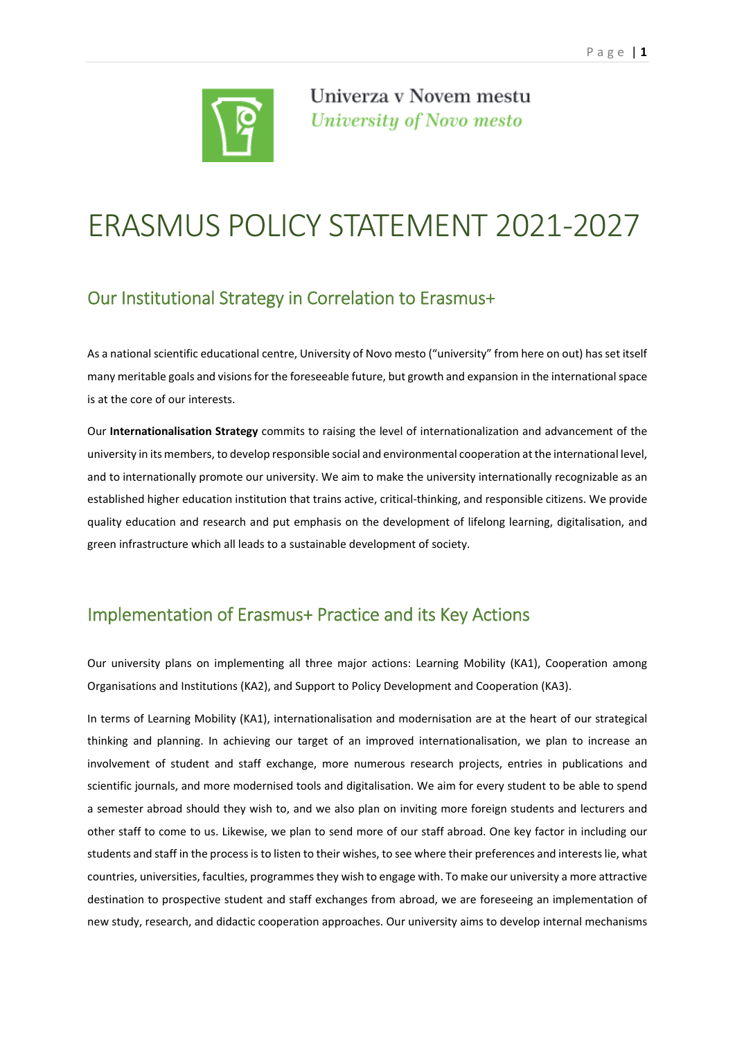

Univerza v Novem mestu University of Novo mesto

## ERASMUS POLICY STATEMENT 2021‐2027

## Our Institutional Strategy in Correlation to Erasmus+

As a national scientific educational centre, University of Novo mesto ("university" from here on out) has set itself many meritable goals and visionsfor the foreseeable future, but growth and expansion in the internationalspace is at the core of our interests.

Our **Internationalisation Strategy** commits to raising the level of internationalization and advancement of the university in its members, to develop responsible social and environmental cooperation at the international level, and to internationally promote our university. We aim to make the university internationally recognizable as an established higher education institution that trains active, critical-thinking, and responsible citizens. We provide quality education and research and put emphasis on the development of lifelong learning, digitalisation, and green infrastructure which all leads to a sustainable development of society.

## Implementation of Erasmus+ Practice and its Key Actions

Our university plans on implementing all three major actions: Learning Mobility (KA1), Cooperation among Organisations and Institutions (KA2), and Support to Policy Development and Cooperation (KA3).

In terms of Learning Mobility (KA1), internationalisation and modernisation are at the heart of our strategical thinking and planning. In achieving our target of an improved internationalisation, we plan to increase an involvement of student and staff exchange, more numerous research projects, entries in publications and scientific journals, and more modernised tools and digitalisation. We aim for every student to be able to spend a semester abroad should they wish to, and we also plan on inviting more foreign students and lecturers and other staff to come to us. Likewise, we plan to send more of our staff abroad. One key factor in including our students and staff in the processisto listen to their wishes, to see where their preferences and interestslie, what countries, universities, faculties, programmes they wish to engage with. To make our university a more attractive destination to prospective student and staff exchanges from abroad, we are foreseeing an implementation of new study, research, and didactic cooperation approaches. Our university aims to develop internal mechanisms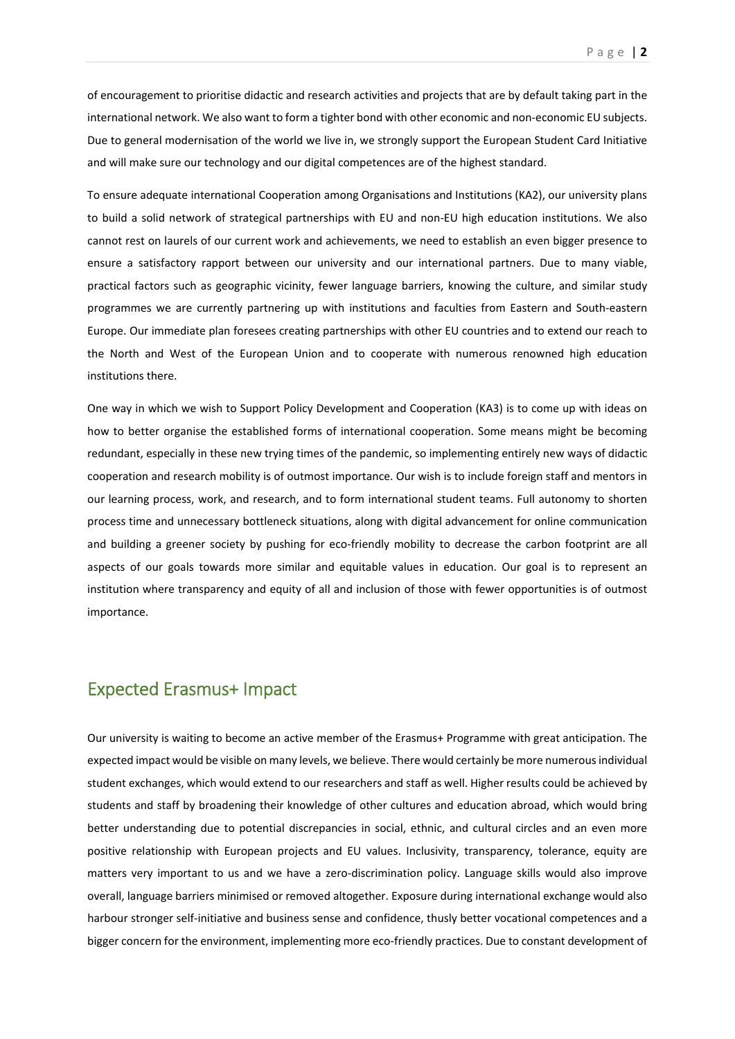of encouragement to prioritise didactic and research activities and projects that are by default taking part in the international network. We also want to form a tighter bond with other economic and non‐economic EU subjects. Due to general modernisation of the world we live in, we strongly support the European Student Card Initiative and will make sure our technology and our digital competences are of the highest standard.

To ensure adequate international Cooperation among Organisations and Institutions (KA2), our university plans to build a solid network of strategical partnerships with EU and non‐EU high education institutions. We also cannot rest on laurels of our current work and achievements, we need to establish an even bigger presence to ensure a satisfactory rapport between our university and our international partners. Due to many viable, practical factors such as geographic vicinity, fewer language barriers, knowing the culture, and similar study programmes we are currently partnering up with institutions and faculties from Eastern and South‐eastern Europe. Our immediate plan foresees creating partnerships with other EU countries and to extend our reach to the North and West of the European Union and to cooperate with numerous renowned high education institutions there.

One way in which we wish to Support Policy Development and Cooperation (KA3) is to come up with ideas on how to better organise the established forms of international cooperation. Some means might be becoming redundant, especially in these new trying times of the pandemic, so implementing entirely new ways of didactic cooperation and research mobility is of outmost importance. Our wish is to include foreign staff and mentors in our learning process, work, and research, and to form international student teams. Full autonomy to shorten process time and unnecessary bottleneck situations, along with digital advancement for online communication and building a greener society by pushing for eco-friendly mobility to decrease the carbon footprint are all aspects of our goals towards more similar and equitable values in education. Our goal is to represent an institution where transparency and equity of all and inclusion of those with fewer opportunities is of outmost importance.

## Expected Erasmus+ Impact

Our university is waiting to become an active member of the Erasmus+ Programme with great anticipation. The expected impact would be visible on many levels, we believe. There would certainly be more numerousindividual student exchanges, which would extend to our researchers and staff as well. Higher results could be achieved by students and staff by broadening their knowledge of other cultures and education abroad, which would bring better understanding due to potential discrepancies in social, ethnic, and cultural circles and an even more positive relationship with European projects and EU values. Inclusivity, transparency, tolerance, equity are matters very important to us and we have a zero-discrimination policy. Language skills would also improve overall, language barriers minimised or removed altogether. Exposure during international exchange would also harbour stronger self‐initiative and business sense and confidence, thusly better vocational competences and a bigger concern for the environment, implementing more eco-friendly practices. Due to constant development of